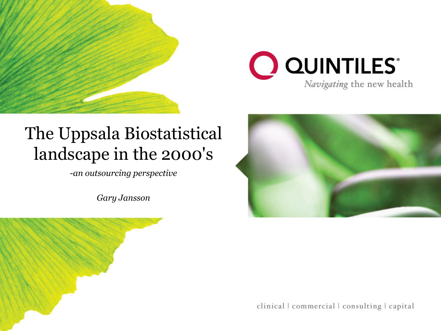



#### The Uppsala Biostatistical landscape in the 2000's

-*an outsourcing perspective*

*Gary Jansson*





clinical | commercial | consulting | capital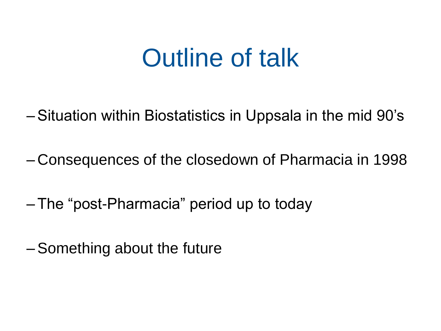# Outline of talk

- Situation within Biostatistics in Uppsala in the mid 90's
- Consequences of the closedown of Pharmacia in 1998
- The "post-Pharmacia" period up to today
- Something about the future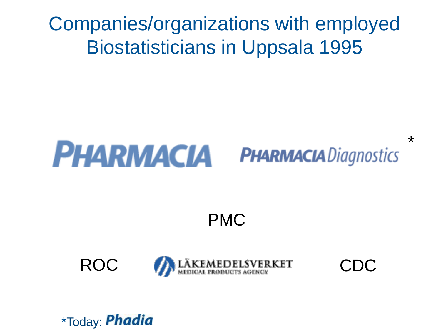### Companies/organizations with employed Biostatisticians in Uppsala 1995

#### **PHARMACIA PHARMACIA** Diagnostics

PMC





\*

\*Today: **Phadia**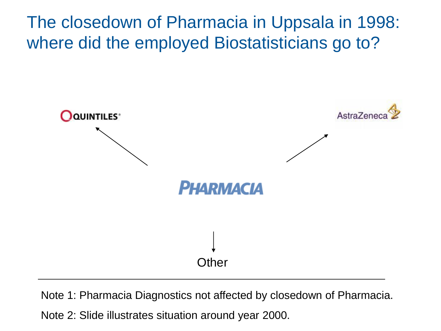The closedown of Pharmacia in Uppsala in 1998: where did the employed Biostatisticians go to?



Note 1: Pharmacia Diagnostics not affected by closedown of Pharmacia.

Note 2: Slide illustrates situation around year 2000.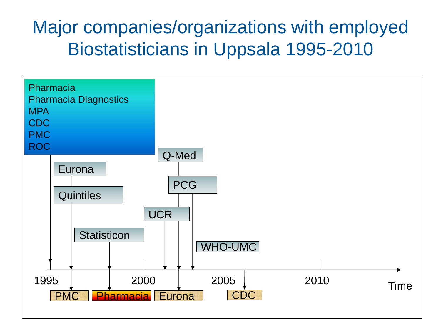### Major companies/organizations with employed Biostatisticians in Uppsala 1995-2010

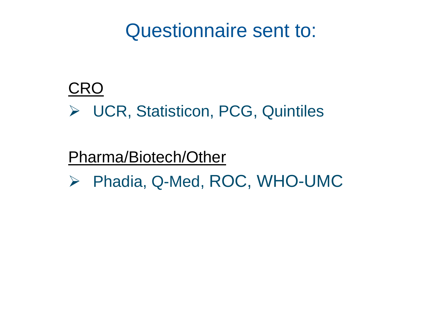### Questionnaire sent to:

#### **CRO**

▶ UCR, Statisticon, PCG, Quintiles

#### Pharma/Biotech/Other

▶ Phadia, Q-Med, ROC, WHO-UMC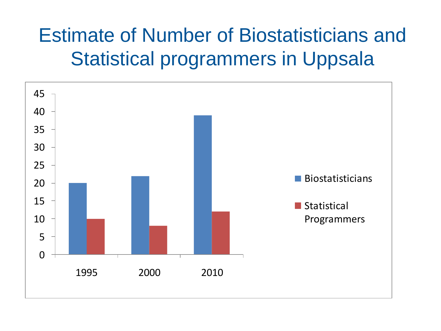## Estimate of Number of Biostatisticians and Statistical programmers in Uppsala

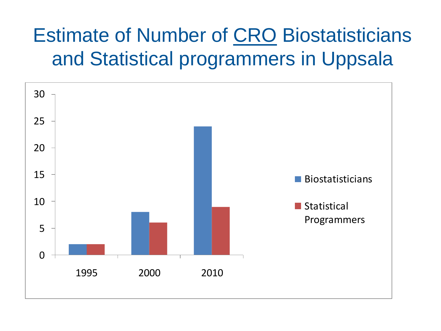## Estimate of Number of CRO Biostatisticians and Statistical programmers in Uppsala

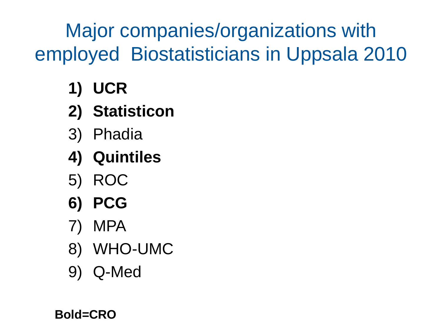Major companies/organizations with employed Biostatisticians in Uppsala 2010

- **1) UCR**
- **2) Statisticon**
- 3) Phadia
- **4) Quintiles**
- 5) ROC
- **6) PCG**
- 7) MPA
- 8) WHO-UMC
- 9) Q-Med

**Bold=CRO**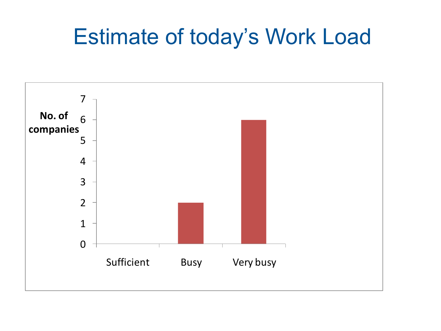## Estimate of today's Work Load

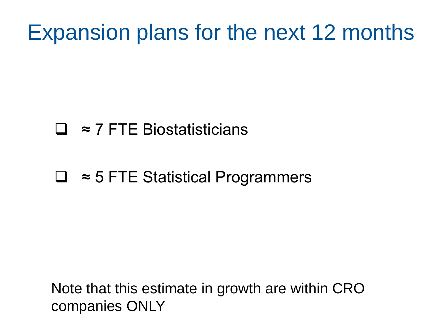## Expansion plans for the next 12 months

#### ≈ 7 FTE Biostatisticians

#### ≈ 5 FTE Statistical Programmers

Note that this estimate in growth are within CRO companies ONLY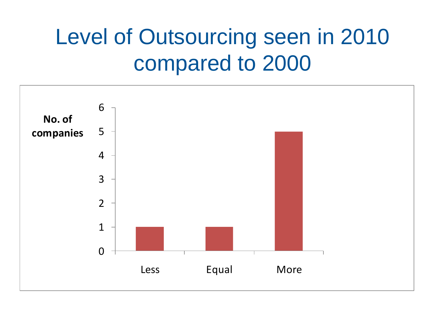# Level of Outsourcing seen in 2010 compared to 2000

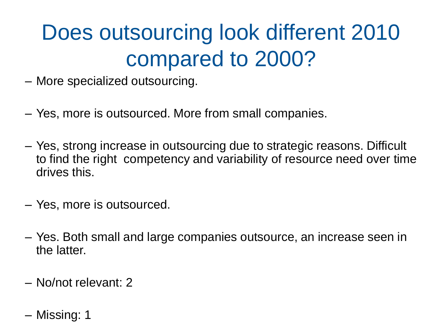# Does outsourcing look different 2010 compared to 2000?

- More specialized outsourcing.
- Yes, more is outsourced. More from small companies.
- Yes, strong increase in outsourcing due to strategic reasons. Difficult to find the right competency and variability of resource need over time drives this.
- Yes, more is outsourced.
- Yes. Both small and large companies outsource, an increase seen in the latter.
- No/not relevant: 2
- Missing: 1